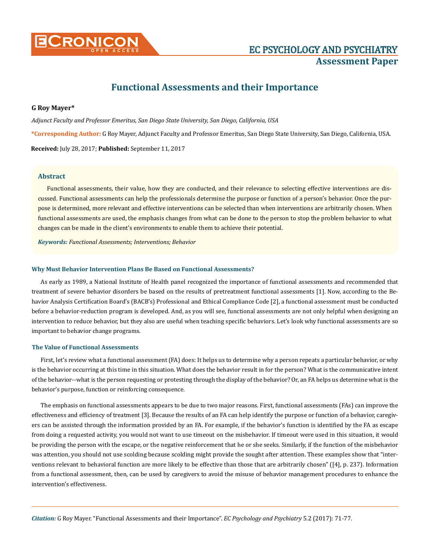

# **Functional Assessments and their Importance**

# **G Roy Mayer\***

*Adjunct Faculty and Professor Emeritus, San Diego State University, San Diego, California, USA* **\*Corresponding Author:** G Roy Mayer, Adjunct Faculty and Professor Emeritus, San Diego State University, San Diego, California, USA. **Received:** July 28, 2017; **Published:** September 11, 2017

## **Abstract**

Functional assessments, their value, how they are conducted, and their relevance to selecting effective interventions are discussed. Functional assessments can help the professionals determine the purpose or function of a person's behavior. Once the purpose is determined, more relevant and effective interventions can be selected than when interventions are arbitrarily chosen. When functional assessments are used, the emphasis changes from what can be done to the person to stop the problem behavior to what changes can be made in the client's environments to enable them to achieve their potential.

*Keywords: Functional Assessments; Interventions; Behavior*

## **Why Must Behavior Intervention Plans Be Based on Functional Assessments?**

As early as 1989, a National Institute of Health panel recognized the importance of functional assessments and recommended that treatment of severe behavior disorders be based on the results of pretreatment functional assessments [1]. Now, according to the Behavior Analysis Certification Board's (BACB's) Professional and Ethical Compliance Code [2], a functional assessment must be conducted before a behavior-reduction program is developed. And, as you will see, functional assessments are not only helpful when designing an intervention to reduce behavior, but they also are useful when teaching specific behaviors. Let's look why functional assessments are so important to behavior change programs.

#### **The Value of Functional Assessments**

First, let's review what a functional assessment (FA) does: It helps us to determine why a person repeats a particular behavior, or why is the behavior occurring at this time in this situation. What does the behavior result in for the person? What is the communicative intent of the behavior--what is the person requesting or protesting through the display of the behavior? Or, an FA helps us determine what is the behavior's purpose, function or reinforcing consequence.

The emphasis on functional assessments appears to be due to two major reasons. First, functional assessments (FAs) can improve the effectiveness and efficiency of treatment [3]. Because the results of an FA can help identify the purpose or function of a behavior, caregivers can be assisted through the information provided by an FA. For example, if the behavior's function is identified by the FA as escape from doing a requested activity, you would not want to use timeout on the misbehavior. If timeout were used in this situation, it would be providing the person with the escape, or the negative reinforcement that he or she seeks. Similarly, if the function of the misbehavior was attention, you should not use scolding because scolding might provide the sought after attention. These examples show that "interventions relevant to behavioral function are more likely to be effective than those that are arbitrarily chosen" ([4], p. 237). Information from a functional assessment, then, can be used by caregivers to avoid the misuse of behavior management procedures to enhance the intervention's effectiveness.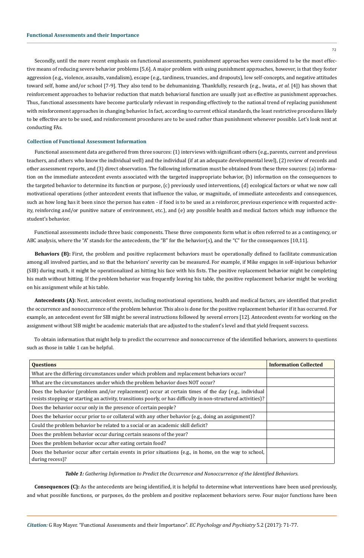Secondly, until the more recent emphasis on functional assessments, punishment approaches were considered to be the most effective means of reducing severe behavior problems [5,6]. A major problem with using punishment approaches, however, is that they foster aggression (e.g., violence, assaults, vandalism), escape (e.g., tardiness, truancies, and dropouts), low self-concepts, and negative attitudes toward self, home and/or school [7-9]. They also tend to be dehumanizing. Thankfully, research (e.g., Iwata., *et al*. [4]) has shown that reinforcement approaches to behavior reduction that match behavioral function are usually just as effective as punishment approaches. Thus, functional assessments have become particularly relevant in responding effectively to the national trend of replacing punishment with reinforcement approaches in changing behavior. In fact, according to current ethical standards, the least restrictive procedures likely to be effective are to be used, and reinforcement procedures are to be used rather than punishment whenever possible. Let's look next at conducting FAs.

# **Collection of Functional Assessment Information**

Functional assessment data are gathered from three sources: (1) interviews with significant others (e.g., parents, current and previous teachers, and others who know the individual well) and the individual (if at an adequate developmental level), (2) review of records and other assessment reports, and (3) direct observation. The following information must be obtained from these three sources: (a) information on the immediate antecedent events associated with the targeted inappropriate behavior, (b) information on the consequences to the targeted behavior to determine its function or purpose, (c) previously used interventions, (d) ecological factors or what we now call motivational operations (other antecedent events that influence the value, or magnitude, of immediate antecedents and consequences, such as how long has it been since the person has eaten - if food is to be used as a reinforcer, previous experience with requested activity, reinforcing and/or punitive nature of environment, etc.), and (e) any possible health and medical factors which may influence the student's behavior.

Functional assessments include three basic components. These three components form what is often referred to as a contingency, or ABC analysis, where the "A" stands for the antecedents, the "B" for the behavior(s), and the "C" for the consequences [10,11].

**Behaviors (B):** First, the problem and positive replacement behaviors must be operationally defined to facilitate communication among all involved parties, and so that the behaviors' severity can be measured. For example, if Mike engages in self-injurious behavior (SIB) during math, it might be operationalized as hitting his face with his fists. The positive replacement behavior might be completing his math without hitting. If the problem behavior was frequently leaving his table, the positive replacement behavior might be working on his assignment while at his table.

**Antecedents (A):** Next, antecedent events, including motivational operations, health and medical factors, are identified that predict the occurrence and nonoccurrence of the problem behavior. This also is done for the positive replacement behavior if it has occurred. For example, an antecedent event for SIB might be several instructions followed by several errors [12]. Antecedent events for working on the assignment without SIB might be academic materials that are adjusted to the student's level and that yield frequent success.

To obtain information that might help to predict the occurrence and nonoccurrence of the identified behaviors, answers to questions such as those in table 1 can be helpful.

| <b>Ouestions</b>                                                                                                                                                                                                     | <b>Information Collected</b> |
|----------------------------------------------------------------------------------------------------------------------------------------------------------------------------------------------------------------------|------------------------------|
| What are the differing circumstances under which problem and replacement behaviors occur?                                                                                                                            |                              |
| What are the circumstances under which the problem behavior does NOT occur?                                                                                                                                          |                              |
| Does the behavior (problem and/or replacement) occur at certain times of the day (e.g., individual<br>resists stopping or starting an activity, transitions poorly, or has difficulty in non-structured activities)? |                              |
| Does the behavior occur only in the presence of certain people?                                                                                                                                                      |                              |
| Does the behavior occur prior to or collateral with any other behavior (e.g., doing an assignment)?                                                                                                                  |                              |
| Could the problem behavior be related to a social or an academic skill deficit?                                                                                                                                      |                              |
| Does the problem behavior occur during certain seasons of the year?                                                                                                                                                  |                              |
| Does the problem behavior occur after eating certain food?                                                                                                                                                           |                              |
| Does the behavior occur after certain events in prior situations (e.g., in home, on the way to school,<br>during recess)?                                                                                            |                              |

*Table 1: Gathering Information to Predict the Occurrence and Nonoccurrence of the Identified Behaviors.*

**Consequences (C):** As the antecedents are being identified, it is helpful to determine what interventions have been used previously, and what possible functions, or purposes, do the problem and positive replacement behaviors serve. Four major functions have been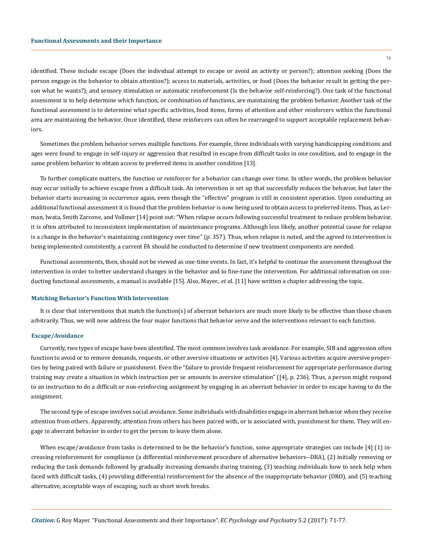identified. These include escape (Does the individual attempt to escape or avoid an activity or person?); attention seeking (Does the person engage in the behavior to obtain attention?); access to materials, activities, or food (Does the behavior result in getting the person what he wants?); and sensory stimulation or automatic reinforcement (Is the behavior self-reinforcing?). One task of the functional assessment is to help determine which function, or combination of functions, are maintaining the problem behavior. Another task of the functional assessment is to determine what specific activities, food items, forms of attention and other reinforcers within the functional area are maintaining the behavior. Once identified, these reinforcers can often be rearranged to support acceptable replacement behaviors.

Sometimes the problem behavior serves multiple functions. For example, three individuals with varying handicapping conditions and ages were found to engage in self-injury or aggression that resulted in escape from difficult tasks in one condition, and to engage in the same problem behavior to obtain access to preferred items in another condition [13].

To further complicate matters, the function or reinforcer for a behavior can change over time. In other words, the problem behavior may occur initially to achieve escape from a difficult task. An intervention is set up that successfully reduces the behavior, but later the behavior starts increasing in occurrence again, even though the "effective" program is still in consistent operation. Upon conducting an additional functional assessment it is found that the problem behavior is now being used to obtain access to preferred items. Thus, as Lerman, Iwata, Smith Zarcone, and Vollmer [14] point out: "When relapse occurs following successful treatment to reduce problem behavior, it is often attributed to inconsistent implementation of maintenance programs. Although less likely, another potential cause for relapse is a change in the behavior's maintaining contingency over time" (p. 357). Thus, when relapse is noted, and the agreed to intervention is being implemented consistently, a current FA should be conducted to determine if new treatment components are needed.

Functional assessments, then, should not be viewed as one-time events. In fact, it's helpful to continue the assessment throughout the intervention in order to better understand changes in the behavior and to fine-tune the intervention. For additional information on conducting functional assessments, a manual is available [15]. Also, Mayer., *et a*l. [11] have written a chapter addressing the topic.

#### **Matching Behavior's Function With Intervention**

It is clear that interventions that match the function(s) of aberrant behaviors are much more likely to be effective than those chosen arbitrarily. Thus, we will now address the four major functions that behavior serve and the interventions relevant to each function.

## **Escape/Avoidance**

Currently, two types of escape have been identified. The most common involves task avoidance. For example, SIB and aggression often function to avoid or to remove demands, requests, or other aversive situations or activities [4]. Various activities acquire aversive properties by being paired with failure or punishment. Even the "failure to provide frequent reinforcement for appropriate performance during training may create a situation in which instruction per se amounts to aversive stimulation" ([4], p. 236). Thus, a person might respond to an instruction to do a difficult or non-reinforcing assignment by engaging in an aberrant behavior in order to escape having to do the assignment.

The second type of escape involves social avoidance. Some individuals with disabilities engage in aberrant behavior when they receive attention from others. Apparently, attention from others has been paired with, or is associated with, punishment for them. They will engage in aberrant behavior in order to get the person to leave them alone.

When escape/avoidance from tasks is determined to be the behavior's function, some appropriate strategies can include [4] (1) increasing reinforcement for compliance (a differential reinforcement procedure of alternative behaviors--DRA), (2) initially removing or reducing the task demands followed by gradually increasing demands during training, (3) teaching individuals how to seek help when faced with difficult tasks, (4) providing differential reinforcement for the absence of the inappropriate behavior (DRO), and (5) teaching alternative, acceptable ways of escaping, such as short work breaks.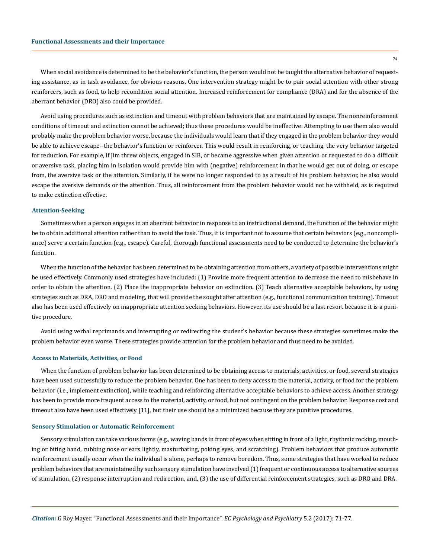When social avoidance is determined to be the behavior's function, the person would not be taught the alternative behavior of requesting assistance, as in task avoidance, for obvious reasons. One intervention strategy might be to pair social attention with other strong reinforcers, such as food, to help recondition social attention. Increased reinforcement for compliance (DRA) and for the absence of the aberrant behavior (DRO) also could be provided.

Avoid using procedures such as extinction and timeout with problem behaviors that are maintained by escape. The nonreinforcement conditions of timeout and extinction cannot be achieved; thus these procedures would be ineffective. Attempting to use them also would probably make the problem behavior worse, because the individuals would learn that if they engaged in the problem behavior they would be able to achieve escape--the behavior's function or reinforcer. This would result in reinforcing, or teaching, the very behavior targeted for reduction. For example, if Jim threw objects, engaged in SIB, or became aggressive when given attention or requested to do a difficult or aversive task, placing him in isolation would provide him with (negative) reinforcement in that he would get out of doing, or escape from, the aversive task or the attention. Similarly, if he were no longer responded to as a result of his problem behavior, he also would escape the aversive demands or the attention. Thus, all reinforcement from the problem behavior would not be withheld, as is required to make extinction effective.

## **Attention-Seeking**

Sometimes when a person engages in an aberrant behavior in response to an instructional demand, the function of the behavior might be to obtain additional attention rather than to avoid the task. Thus, it is important not to assume that certain behaviors (e.g., noncompliance) serve a certain function (e.g., escape). Careful, thorough functional assessments need to be conducted to determine the behavior's function.

When the function of the behavior has been determined to be obtaining attention from others, a variety of possible interventions might be used effectively. Commonly used strategies have included: (1) Provide more frequent attention to decrease the need to misbehave in order to obtain the attention. (2) Place the inappropriate behavior on extinction. (3) Teach alternative acceptable behaviors, by using strategies such as DRA, DRO and modeling, that will provide the sought after attention (e.g., functional communication training). Timeout also has been used effectively on inappropriate attention seeking behaviors. However, its use should be a last resort because it is a punitive procedure.

Avoid using verbal reprimands and interrupting or redirecting the student's behavior because these strategies sometimes make the problem behavior even worse. These strategies provide attention for the problem behavior and thus need to be avoided.

### **Access to Materials, Activities, or Food**

When the function of problem behavior has been determined to be obtaining access to materials, activities, or food, several strategies have been used successfully to reduce the problem behavior. One has been to deny access to the material, activity, or food for the problem behavior (i.e., implement extinction), while teaching and reinforcing alternative acceptable behaviors to achieve access. Another strategy has been to provide more frequent access to the material, activity, or food, but not contingent on the problem behavior. Response cost and timeout also have been used effectively [11], but their use should be a minimized because they are punitive procedures.

#### **Sensory Stimulation or Automatic Reinforcement**

Sensory stimulation can take various forms (e.g., waving hands in front of eyes when sitting in front of a light, rhythmic rocking, mouthing or biting hand, rubbing nose or ears lightly, masturbating, poking eyes, and scratching). Problem behaviors that produce automatic reinforcement usually occur when the individual is alone, perhaps to remove boredom. Thus, some strategies that have worked to reduce problem behaviors that are maintained by such sensory stimulation have involved (1) frequent or continuous access to alternative sources of stimulation, (2) response interruption and redirection, and, (3) the use of differential reinforcement strategies, such as DRO and DRA.

74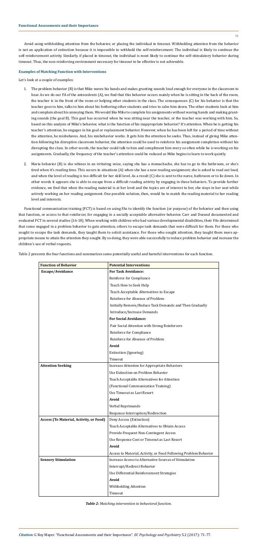75

*Citation:* G Roy Mayer. "Functional Assessments and their Importance". *EC Psychology and Psychiatry* 5.2 (2017): 71-77.

Avoid using withholding attention from the behavior, or placing the individual in timeout. Withholding attention from the behavior is not an application of extinction because it is impossible to withhold the self-reinforcement: The individual is likely to continue the self-reinforcement activity. Similarly, if placed in timeout, the individual is most likely to continue the self-stimulatory behavior during timeout. Thus, the non-reinforcing environment necessary for timeout to be effective is not achievable.

# **Examples of Matching Function with Interventions**

Let's look at a couple of examples:

- 1. The problem behavior (B) is that Mike waves his hands and makes grunting sounds loud enough for everyone in the classroom to hear. As we do our FA of the antecedents (A), we find that this behavior occurs mainly when he is sitting in the back of the room, the teacher is in the front of the room or helping other students in the class. The consequences (C) for his behavior is that the teacher goes to him, talks to him about his bothering other students and tries to calm him down. The other students look at him and complain about his annoying them. We would like Mike to complete his assignments without waving hands and making grunting sounds (the goal B). This goal has occurred when he was sitting near the teacher, or the teacher was working with him. So, based on this analysis of Mike's behavior, what is the function of his inappropriate behavior? It's attention. When he is getting his teacher's attention, he engages in his goal or replacement behavior. However, when he has been left for a period of time without the attention, he misbehaves. And, his misbehavior works. It gets him the attention he seeks. Thus, instead of giving Mike attention following his disruptive classroom behavior, the attention could be used to reinforce his assignment completion without his disrupting the class. In other words, the teacher could talk to him and compliment him every so often while he is working on his assignments. Gradually, the frequency of the teacher's attention could be reduced as Mike begins to learn to work quietly.
- 2. Maria behavior (B) is she whines in an irritating voice, saying she has a stomachache, she has to go to the bathroom, or she's tired when it's reading time. This occurs in situations (A) when she has a new reading assignment; she is asked to read out loud, and when the level of reading is too difficult for her skill level. As a result (C) she is sent to the nurse, bathroom or to lie down. In other words it appears she is able to escape from a difficult reading activity by engaging in these behaviors. To provide further evidence, we find that when the reading material is at her level and the topics are of interest to her, she stays in her seat while actively working on her reading assignment. One possible solution, then, would be to match the reading material to her reading level and interests.

Functional communication training (FCT) is based on using FAs to identify the function (or purpose) of the behavior and then using that function, or access to that reinforcer, for engaging in a socially acceptable alternative behavior. Carr and Durand documented and evaluated FCT in several studies [16-18]. When working with children who had various developmental disabilities, their FAs determined that some engaged in a problem behavior to gain attention, others to escape task demands that were difficult for them. For those who sought to escape the task demands, they taught them to solicit assistance. For those who sought attention, they taught them more appropriate means to attain the attention they sought. By so doing, they were able successfully to reduce problem behavior and increase the children's use of verbal requests.

Table 2 presents the four functions and summarizes some potentially useful and harmful interventions for each function.

| <b>Function of Behavior</b>             | <b>Potential Interventions</b>                                   |
|-----------------------------------------|------------------------------------------------------------------|
| Escape/Avoidance                        | <b>For Task Avoidance:</b>                                       |
|                                         | Reinforce for Compliance                                         |
|                                         | Teach How to Seek Help                                           |
|                                         | Teach Acceptable Alternatives to Escape                          |
|                                         | Reinforce for Absence of Problem                                 |
|                                         | Initially Remove/Reduce Task Demands and Then Gradually          |
|                                         | Introduce/Increase Demands                                       |
|                                         | <b>For Social Avoidance:</b>                                     |
|                                         | Pair Social Attention with Strong Reinforcers                    |
|                                         | Reinforce for Compliance                                         |
|                                         | Reinforce for Absence of Problem                                 |
|                                         | Avoid                                                            |
|                                         | Extinction (Ignoring)                                            |
|                                         | Timeout                                                          |
| <b>Attention Seeking</b>                | <b>Increase Attention for Appropriate Behaviors</b>              |
|                                         | Use Extinction on Problem Behavior                               |
|                                         | Teach Acceptable Alternatives for Attention                      |
|                                         | (Functional Communication Training)                              |
|                                         | Use Timeout as Last Resort                                       |
|                                         | Avoid                                                            |
|                                         | Verbal Reprimands                                                |
|                                         | Response Interruption/Redirection                                |
| Access (To Material, Activity, or Food) | Deny Access (Extinction)                                         |
|                                         | Teach Acceptable Alternatives to Obtain Access                   |
|                                         | Provide Frequent Non-Contingent Access                           |
|                                         | Use Response Cost or Timeout as Last Resort                      |
|                                         | Avoid                                                            |
|                                         | Access to Material, Activity, or Food Following Problem Behavior |
| <b>Sensory Stimulation</b>              | Increase Access to Alternative Sources of Stimulation            |
|                                         | Interrupt/Redirect Behavior                                      |
|                                         | Use Differential Reinforcement Strategies                        |
|                                         | Avoid                                                            |
|                                         | Withholding Attention                                            |
|                                         | Timeout                                                          |

*Table 2: Matching intervention to behavioral function.*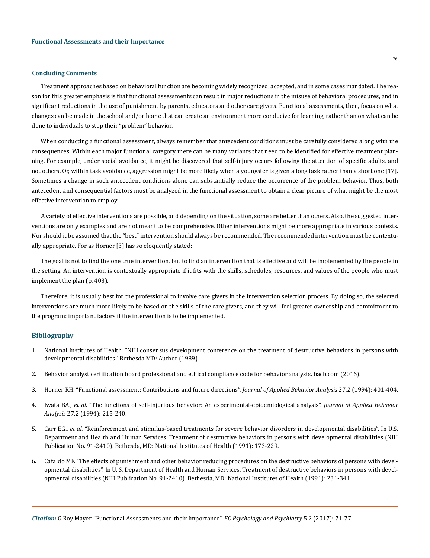#### **Concluding Comments**

Treatment approaches based on behavioral function are becoming widely recognized, accepted, and in some cases mandated. The reason for this greater emphasis is that functional assessments can result in major reductions in the misuse of behavioral procedures, and in significant reductions in the use of punishment by parents, educators and other care givers. Functional assessments, then, focus on what changes can be made in the school and/or home that can create an environment more conducive for learning, rather than on what can be done to individuals to stop their "problem" behavior.

When conducting a functional assessment, always remember that antecedent conditions must be carefully considered along with the consequences. Within each major functional category there can be many variants that need to be identified for effective treatment planning. For example, under social avoidance, it might be discovered that self-injury occurs following the attention of specific adults, and not others. Or, within task avoidance, aggression might be more likely when a youngster is given a long task rather than a short one [17]. Sometimes a change in such antecedent conditions alone can substantially reduce the occurrence of the problem behavior. Thus, both antecedent and consequential factors must be analyzed in the functional assessment to obtain a clear picture of what might be the most effective intervention to employ.

A variety of effective interventions are possible, and depending on the situation, some are better than others. Also, the suggested interventions are only examples and are not meant to be comprehensive. Other interventions might be more appropriate in various contexts. Nor should it be assumed that the "best" intervention should always be recommended. The recommended intervention must be contextually appropriate. For as Horner [3] has so eloquently stated:

The goal is not to find the one true intervention, but to find an intervention that is effective and will be implemented by the people in the setting. An intervention is contextually appropriate if it fits with the skills, schedules, resources, and values of the people who must implement the plan (p. 403).

Therefore, it is usually best for the professional to involve care givers in the intervention selection process. By doing so, the selected interventions are much more likely to be based on the skills of the care givers, and they will feel greater ownership and commitment to the program: important factors if the intervention is to be implemented.

# **Bibliography**

- 1. [National Institutes of Health. "NIH consensus development conference on the treatment of destructive behaviors in persons with](https://consensus.nih.gov/1989/1989DestructiveBehaviorsDevelopment075html.htm) [developmental disabilities". Bethesda MD: Author \(1989\).](https://consensus.nih.gov/1989/1989DestructiveBehaviorsDevelopment075html.htm)
- 2. [Behavior analyst certification board professional and ethical compliance code for behavior analysts. bacb.com \(2016\).](https://bacb.com/wp-content/uploads/170706-compliance-code-english.pdf)
- 3. [Horner RH. "Functional assessment: Contributions and future directions".](https://www.ncbi.nlm.nih.gov/pmc/articles/PMC1297816/) *Journal of Applied Behavior Analysis* 27.2 (1994): 401-404.
- 4. Iwata BA., *et al*[. "The functions of self-injurious behavior: An experimental-epidemiological analysis".](https://www.ncbi.nlm.nih.gov/pmc/articles/PMC1297800/) *Journal of Applied Behavior Analysis* [27.2 \(1994\): 215-240.](https://www.ncbi.nlm.nih.gov/pmc/articles/PMC1297800/)
- 5. Carr EG., *et al*. "Reinforcement and stimulus-based treatments for severe behavior disorders in developmental disabilities". In U.S. Department and Health and Human Services. Treatment of destructive behaviors in persons with developmental disabilities (NIH Publication No. 91-2410). Bethesda, MD: National Institutes of Health (1991): 173-229.
- 6. Cataldo MF. "The effects of punishment and other behavior reducing procedures on the destructive behaviors of persons with developmental disabilities". In U. S. Department of Health and Human Services. Treatment of destructive behaviors in persons with developmental disabilities (NIH Publication No. 91-2410). Bethesda, MD: National Institutes of Health (1991): 231-341.